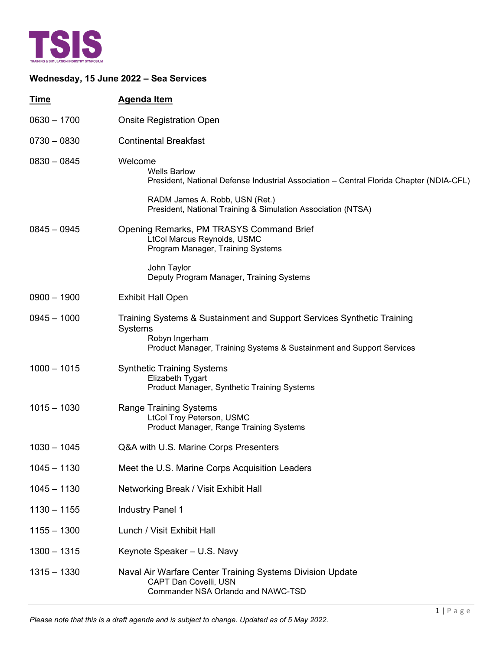

## **Wednesday, 15 June 2022 – Sea Services**

| <b>Time</b>   | <b>Agenda Item</b>                                                                                                                                                                                                          |
|---------------|-----------------------------------------------------------------------------------------------------------------------------------------------------------------------------------------------------------------------------|
| $0630 - 1700$ | <b>Onsite Registration Open</b>                                                                                                                                                                                             |
| $0730 - 0830$ | <b>Continental Breakfast</b>                                                                                                                                                                                                |
| $0830 - 0845$ | Welcome<br><b>Wells Barlow</b><br>President, National Defense Industrial Association - Central Florida Chapter (NDIA-CFL)<br>RADM James A. Robb, USN (Ret.)<br>President, National Training & Simulation Association (NTSA) |
| $0845 - 0945$ | Opening Remarks, PM TRASYS Command Brief<br>LtCol Marcus Reynolds, USMC<br>Program Manager, Training Systems<br>John Taylor<br>Deputy Program Manager, Training Systems                                                     |
| $0900 - 1900$ | <b>Exhibit Hall Open</b>                                                                                                                                                                                                    |
| $0945 - 1000$ | Training Systems & Sustainment and Support Services Synthetic Training<br><b>Systems</b><br>Robyn Ingerham<br>Product Manager, Training Systems & Sustainment and Support Services                                          |
| $1000 - 1015$ | <b>Synthetic Training Systems</b><br>Elizabeth Tygart<br>Product Manager, Synthetic Training Systems                                                                                                                        |
| $1015 - 1030$ | <b>Range Training Systems</b><br><b>LtCol Troy Peterson, USMC</b><br>Product Manager, Range Training Systems                                                                                                                |
| $1030 - 1045$ | Q&A with U.S. Marine Corps Presenters                                                                                                                                                                                       |
| $1045 - 1130$ | Meet the U.S. Marine Corps Acquisition Leaders                                                                                                                                                                              |
| $1045 - 1130$ | Networking Break / Visit Exhibit Hall                                                                                                                                                                                       |
| $1130 - 1155$ | <b>Industry Panel 1</b>                                                                                                                                                                                                     |
| $1155 - 1300$ | Lunch / Visit Exhibit Hall                                                                                                                                                                                                  |
| $1300 - 1315$ | Keynote Speaker - U.S. Navy                                                                                                                                                                                                 |
| $1315 - 1330$ | Naval Air Warfare Center Training Systems Division Update<br>CAPT Dan Covelli, USN<br>Commander NSA Orlando and NAWC-TSD                                                                                                    |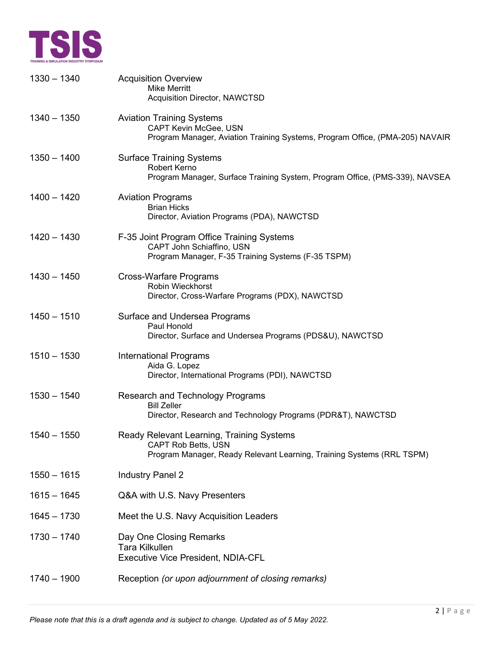

| $1330 - 1340$ | <b>Acquisition Overview</b><br><b>Mike Merritt</b><br>Acquisition Director, NAWCTSD                                                              |
|---------------|--------------------------------------------------------------------------------------------------------------------------------------------------|
| $1340 - 1350$ | <b>Aviation Training Systems</b><br>CAPT Kevin McGee, USN<br>Program Manager, Aviation Training Systems, Program Office, (PMA-205) NAVAIR        |
| $1350 - 1400$ | <b>Surface Training Systems</b><br>Robert Kerno<br>Program Manager, Surface Training System, Program Office, (PMS-339), NAVSEA                   |
| $1400 - 1420$ | <b>Aviation Programs</b><br><b>Brian Hicks</b><br>Director, Aviation Programs (PDA), NAWCTSD                                                     |
| $1420 - 1430$ | F-35 Joint Program Office Training Systems<br>CAPT John Schiaffino, USN<br>Program Manager, F-35 Training Systems (F-35 TSPM)                    |
| $1430 - 1450$ | <b>Cross-Warfare Programs</b><br>Robin Wieckhorst<br>Director, Cross-Warfare Programs (PDX), NAWCTSD                                             |
| $1450 - 1510$ | Surface and Undersea Programs<br>Paul Honold<br>Director, Surface and Undersea Programs (PDS&U), NAWCTSD                                         |
| $1510 - 1530$ | <b>International Programs</b><br>Aida G. Lopez<br>Director, International Programs (PDI), NAWCTSD                                                |
| $1530 - 1540$ | Research and Technology Programs<br><b>Bill Zeller</b><br>Director, Research and Technology Programs (PDR&T), NAWCTSD                            |
| $1540 - 1550$ | Ready Relevant Learning, Training Systems<br><b>CAPT Rob Betts, USN</b><br>Program Manager, Ready Relevant Learning, Training Systems (RRL TSPM) |
| $1550 - 1615$ | <b>Industry Panel 2</b>                                                                                                                          |
| $1615 - 1645$ | Q&A with U.S. Navy Presenters                                                                                                                    |
| $1645 - 1730$ | Meet the U.S. Navy Acquisition Leaders                                                                                                           |
| $1730 - 1740$ | Day One Closing Remarks<br><b>Tara Kilkullen</b><br><b>Executive Vice President, NDIA-CFL</b>                                                    |
| $1740 - 1900$ | Reception (or upon adjournment of closing remarks)                                                                                               |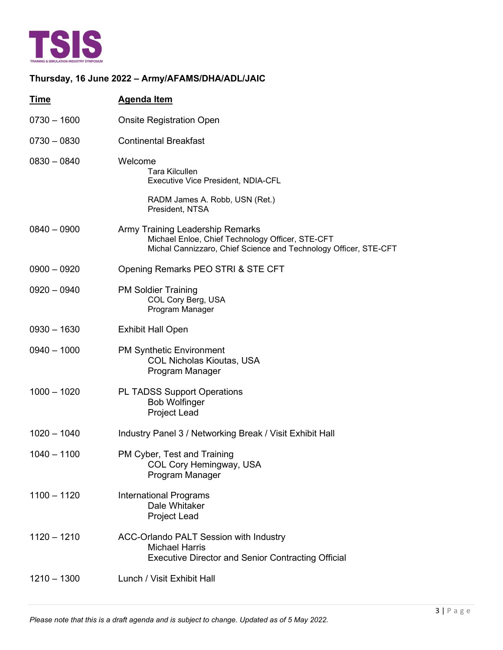

## **Thursday, 16 June 2022 – Army/AFAMS/DHA/ADL/JAIC**

| Time          | <b>Agenda Item</b>                                                                                                                                       |
|---------------|----------------------------------------------------------------------------------------------------------------------------------------------------------|
| $0730 - 1600$ | <b>Onsite Registration Open</b>                                                                                                                          |
| $0730 - 0830$ | <b>Continental Breakfast</b>                                                                                                                             |
| $0830 - 0840$ | Welcome<br><b>Tara Kilcullen</b><br>Executive Vice President, NDIA-CFL                                                                                   |
|               | RADM James A. Robb, USN (Ret.)<br>President, NTSA                                                                                                        |
| $0840 - 0900$ | Army Training Leadership Remarks<br>Michael Enloe, Chief Technology Officer, STE-CFT<br>Michal Cannizzaro, Chief Science and Technology Officer, STE-CFT |
| $0900 - 0920$ | Opening Remarks PEO STRI & STE CFT                                                                                                                       |
| $0920 - 0940$ | <b>PM Soldier Training</b><br>COL Cory Berg, USA<br>Program Manager                                                                                      |
| $0930 - 1630$ | <b>Exhibit Hall Open</b>                                                                                                                                 |
| $0940 - 1000$ | <b>PM Synthetic Environment</b><br><b>COL Nicholas Kioutas, USA</b><br>Program Manager                                                                   |
| $1000 - 1020$ | <b>PL TADSS Support Operations</b><br><b>Bob Wolfinger</b><br><b>Project Lead</b>                                                                        |
| $1020 - 1040$ | Industry Panel 3 / Networking Break / Visit Exhibit Hall                                                                                                 |
| $1040 - 1100$ | PM Cyber, Test and Training<br>COL Cory Hemingway, USA<br>Program Manager                                                                                |
| $1100 - 1120$ | <b>International Programs</b><br>Dale Whitaker<br><b>Project Lead</b>                                                                                    |
| $1120 - 1210$ | ACC-Orlando PALT Session with Industry<br><b>Michael Harris</b><br><b>Executive Director and Senior Contracting Official</b>                             |
| $1210 - 1300$ | Lunch / Visit Exhibit Hall                                                                                                                               |